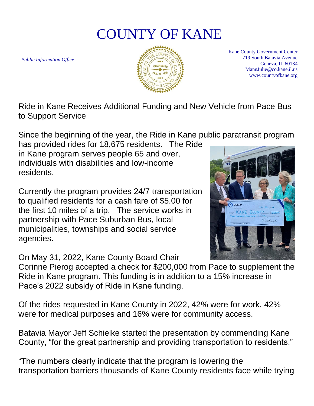## COUNTY OF KANE

*Public Information Office*



Kane County Government Center 719 South Batavia Avenue Geneva, IL 60134 MannJulie@co.kane.il.us www.countyofkane.org

Ride in Kane Receives Additional Funding and New Vehicle from Pace Bus to Support Service

Since the beginning of the year, the Ride in Kane public paratransit program

has provided rides for 18,675 residents. The Ride in Kane program serves people 65 and over, individuals with disabilities and low-income residents.

Currently the program provides 24/7 transportation to qualified residents for a cash fare of \$5.00 for the first 10 miles of a trip. The service works in partnership with Pace Suburban Bus, local municipalities, townships and social service agencies.

On May 31, 2022, Kane County Board Chair

Corinne Pierog accepted a check for \$200,000 from Pace to supplement the Ride in Kane program. This funding is in addition to a 15% increase in Pace's 2022 subsidy of Ride in Kane funding.

Of the rides requested in Kane County in 2022, 42% were for work, 42% were for medical purposes and 16% were for community access.

Batavia Mayor Jeff Schielke started the presentation by commending Kane County, "for the great partnership and providing transportation to residents."

"The numbers clearly indicate that the program is lowering the transportation barriers thousands of Kane County residents face while trying